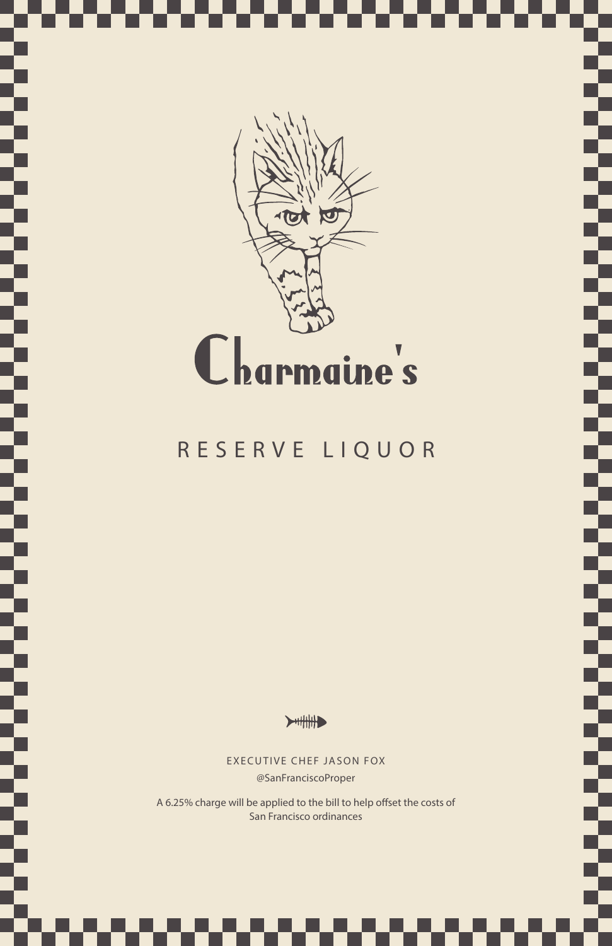

Œ

T si ka

Ŧ

B.

Š

Ş

Ş

┱ Ŧ

### RESERVE LIQUOR

 $\blacktriangleright$   $\parallel$   $\parallel$   $\parallel$ 

EXECUTIVE CHEF JASON FOX @SanFranciscoProper

A 6.25% charge will be applied to the bill to help offset the costs of San Francisco ordinances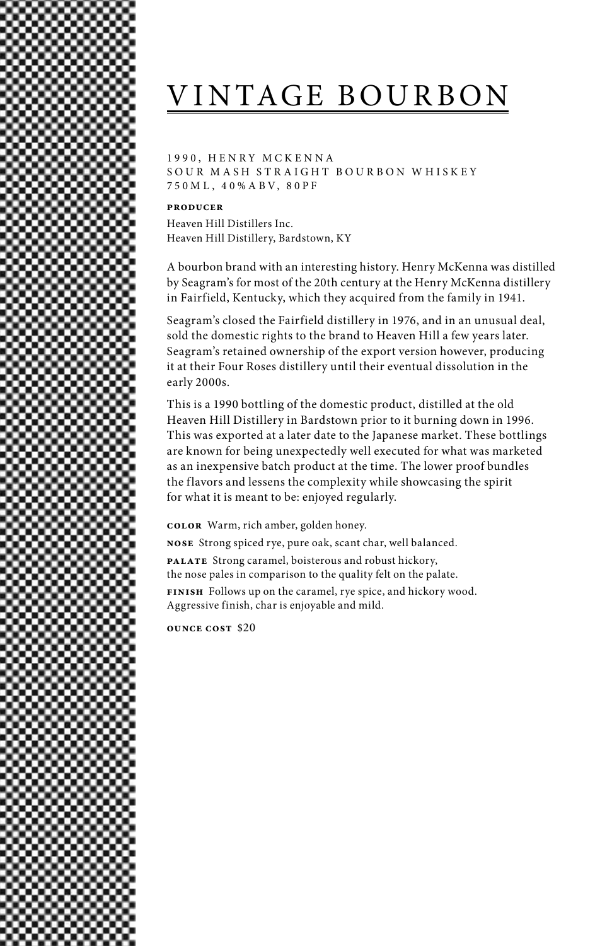# VINTAGE BOURBON

1990, HENRY MCKENNA SOUR MASH STRAIGHT BOURBON WHISKEY 750M L , 4 0%A BV, 80PF

#### **producer**

Heaven Hill Distillers Inc. Heaven Hill Distillery, Bardstown, KY

A bourbon brand with an interesting history. Henry McKenna was distilled by Seagram's for most of the 20th century at the Henry McKenna distillery in Fairfield, Kentucky, which they acquired from the family in 1941.

Seagram's closed the Fairfield distillery in 1976, and in an unusual deal, sold the domestic rights to the brand to Heaven Hill a few years later. Seagram's retained ownership of the export version however, producing it at their Four Roses distillery until their eventual dissolution in the early 2000s.

This is a 1990 bottling of the domestic product, distilled at the old Heaven Hill Distillery in Bardstown prior to it burning down in 1996. This was exported at a later date to the Japanese market. These bottlings are known for being unexpectedly well executed for what was marketed as an inexpensive batch product at the time. The lower proof bundles the flavors and lessens the complexity while showcasing the spirit for what it is meant to be: enjoyed regularly.

**color** Warm, rich amber, golden honey.

**nose** Strong spiced rye, pure oak, scant char, well balanced.

**palate** Strong caramel, boisterous and robust hickory, the nose pales in comparison to the quality felt on the palate.

**finish** Follows up on the caramel, rye spice, and hickory wood. Aggressive finish, char is enjoyable and mild.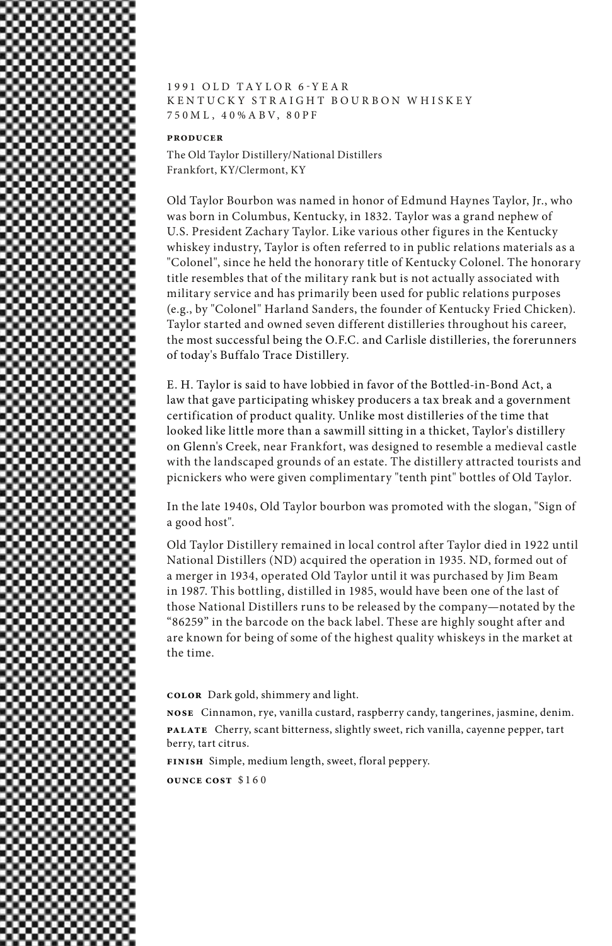

### 1991 OLD TAYLOR 6-YEAR K EN TUCKY STRAIGHT BOURBON WHISKEY 750M L , 4 0%A BV, 80PF

### **producer**

The Old Taylor Distillery/National Distillers Frankfort, KY/Clermont, KY

Old Taylor Bourbon was named in honor of Edmund Haynes Taylor, Jr., who was born in Columbus, Kentucky, in 1832. Taylor was a grand nephew of U.S. President Zachary Taylor. Like various other figures in the Kentucky whiskey industry, Taylor is often referred to in public relations materials as a "Colonel", since he held the honorary title of Kentucky Colonel. The honorary title resembles that of the military rank but is not actually associated with military service and has primarily been used for public relations purposes (e.g., by "Colonel" Harland Sanders, the founder of Kentucky Fried Chicken). Taylor started and owned seven different distilleries throughout his career, the most successful being the O.F.C. and Carlisle distilleries, the forerunners of today's Buffalo Trace Distillery.

E. H. Taylor is said to have lobbied in favor of the Bottled-in-Bond Act, a law that gave participating whiskey producers a tax break and a government certification of product quality. Unlike most distilleries of the time that looked like little more than a sawmill sitting in a thicket, Taylor's distillery on Glenn's Creek, near Frankfort, was designed to resemble a medieval castle with the landscaped grounds of an estate. The distillery attracted tourists and picnickers who were given complimentary "tenth pint" bottles of Old Taylor.

In the late 1940s, Old Taylor bourbon was promoted with the slogan, "Sign of a good host".

Old Taylor Distillery remained in local control after Taylor died in 1922 until National Distillers (ND) acquired the operation in 1935. ND, formed out of a merger in 1934, operated Old Taylor until it was purchased by Jim Beam in 1987. This bottling, distilled in 1985, would have been one of the last of those National Distillers runs to be released by the company—notated by the "86259" in the barcode on the back label. These are highly sought after and are known for being of some of the highest quality whiskeys in the market at the time.

**color** Dark gold, shimmery and light.

**nose** Cinnamon, rye, vanilla custard, raspberry candy, tangerines, jasmine, denim. **palate** Cherry, scant bitterness, slightly sweet, rich vanilla, cayenne pepper, tart berry, tart citrus.

**finish** Simple, medium length, sweet, floral peppery.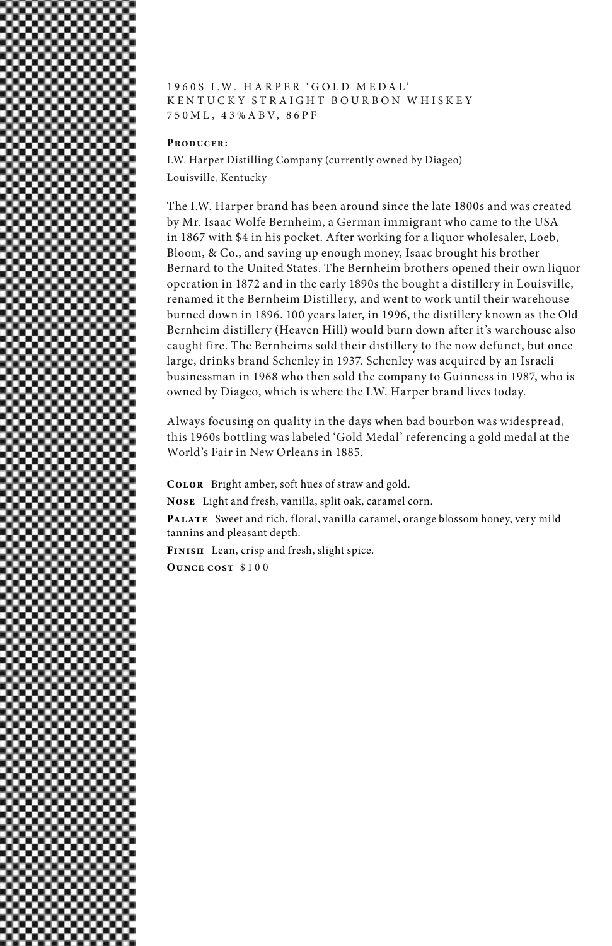

1 9 6 0 S I . W . H A R P E R ' G O L D M E D A L ' KENTUCKY STRAIGHT BOURBON WHISKEY 750M L , 43%A BV, 86PF

#### **Producer:**

I.W. Harper Distilling Company (currently owned by Diageo) Louisville, Kentucky

The I.W. Harper brand has been around since the late 1800s and was created by Mr. Isaac Wolfe Bernheim, a German immigrant who came to the USA in 1867 with \$4 in his pocket. After working for a liquor wholesaler, Loeb, Bloom, & Co., and saving up enough money, Isaac brought his brother Bernard to the United States. The Bernheim brothers opened their own liquor operation in 1872 and in the early 1890s the bought a distillery in Louisville, renamed it the Bernheim Distillery, and went to work until their warehouse burned down in 1896. 100 years later, in 1996, the distillery known as the Old Bernheim distillery (Heaven Hill) would burn down after it's warehouse also caught fire. The Bernheims sold their distillery to the now defunct, but once large, drinks brand Schenley in 1937. Schenley was acquired by an Israeli businessman in 1968 who then sold the company to Guinness in 1987, who is owned by Diageo, which is where the I.W. Harper brand lives today.

Always focusing on quality in the days when bad bourbon was widespread, this 1960s bottling was labeled 'Gold Medal' referencing a gold medal at the World's Fair in New Orleans in 1885.

**Color** Bright amber, soft hues of straw and gold.

**Nose** Light and fresh, vanilla, split oak, caramel corn.

PALATE Sweet and rich, floral, vanilla caramel, orange blossom honey, very mild tannins and pleasant depth.

**Finish** Lean, crisp and fresh, slight spice. **Ounce cost** \$100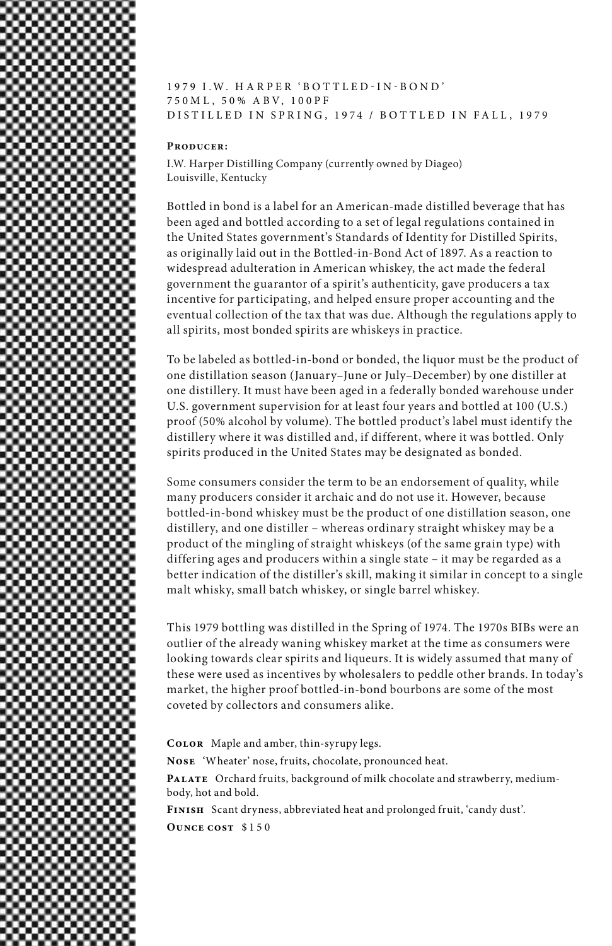

#### **Producer:**

I.W. Harper Distilling Company (currently owned by Diageo) Louisville, Kentucky

Bottled in bond is a label for an American-made distilled beverage that has been aged and bottled according to a set of legal regulations contained in the United States government's Standards of Identity for Distilled Spirits, as originally laid out in the Bottled-in-Bond Act of 1897. As a reaction to widespread adulteration in American whiskey, the act made the federal government the guarantor of a spirit's authenticity, gave producers a tax incentive for participating, and helped ensure proper accounting and the eventual collection of the tax that was due. Although the regulations apply to all spirits, most bonded spirits are whiskeys in practice.

To be labeled as bottled-in-bond or bonded, the liquor must be the product of one distillation season (January–June or July–December) by one distiller at one distillery. It must have been aged in a federally bonded warehouse under U.S. government supervision for at least four years and bottled at 100 (U.S.) proof (50% alcohol by volume). The bottled product's label must identify the distillery where it was distilled and, if different, where it was bottled. Only spirits produced in the United States may be designated as bonded.

Some consumers consider the term to be an endorsement of quality, while many producers consider it archaic and do not use it. However, because bottled-in-bond whiskey must be the product of one distillation season, one distillery, and one distiller – whereas ordinary straight whiskey may be a product of the mingling of straight whiskeys (of the same grain type) with differing ages and producers within a single state – it may be regarded as a better indication of the distiller's skill, making it similar in concept to a single malt whisky, small batch whiskey, or single barrel whiskey.

This 1979 bottling was distilled in the Spring of 1974. The 1970s BIBs were an outlier of the already waning whiskey market at the time as consumers were looking towards clear spirits and liqueurs. It is widely assumed that many of these were used as incentives by wholesalers to peddle other brands. In today's market, the higher proof bottled-in-bond bourbons are some of the most coveted by collectors and consumers alike.

**Color** Maple and amber, thin-syrupy legs.

**Nose** 'Wheater' nose, fruits, chocolate, pronounced heat.

PALATE Orchard fruits, background of milk chocolate and strawberry, mediumbody, hot and bold.

**Finish** Scant dryness, abbreviated heat and prolonged fruit, 'candy dust'. **Ounce cost** \$150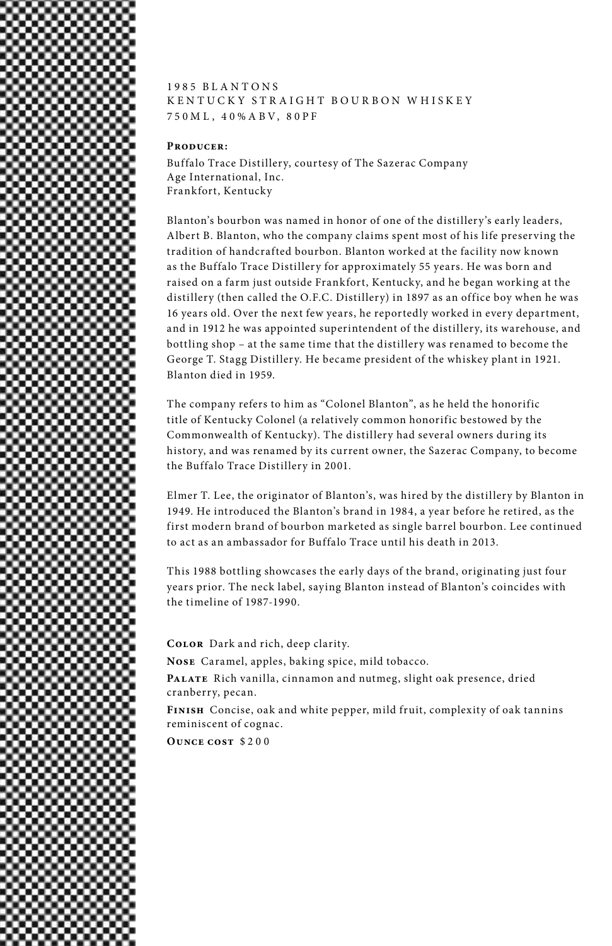### 1 9 8 5 B L A N T O N S K EN TUCKY STRAIGHT BOURBON WHISKEY 750M L , 4 0%A BV, 80PF

#### **Producer:**

Buffalo Trace Distillery, courtesy of The Sazerac Company Age International, Inc. Frankfort, Kentucky

Blanton's bourbon was named in honor of one of the distillery's early leaders, Albert B. Blanton, who the company claims spent most of his life preserving the tradition of handcrafted bourbon. Blanton worked at the facility now known as the Buffalo Trace Distillery for approximately 55 years. He was born and raised on a farm just outside Frankfort, Kentucky, and he began working at the distillery (then called the O.F.C. Distillery) in 1897 as an office boy when he was 16 years old. Over the next few years, he reportedly worked in every department, and in 1912 he was appointed superintendent of the distillery, its warehouse, and bottling shop – at the same time that the distillery was renamed to become the George T. Stagg Distillery. He became president of the whiskey plant in 1921. Blanton died in 1959.

The company refers to him as "Colonel Blanton", as he held the honorific title of Kentucky Colonel (a relatively common honorific bestowed by the Commonwealth of Kentucky). The distillery had several owners during its history, and was renamed by its current owner, the Sazerac Company, to become the Buffalo Trace Distillery in 2001.

Elmer T. Lee, the originator of Blanton's, was hired by the distillery by Blanton in 1949. He introduced the Blanton's brand in 1984, a year before he retired, as the first modern brand of bourbon marketed as single barrel bourbon. Lee continued to act as an ambassador for Buffalo Trace until his death in 2013.

This 1988 bottling showcases the early days of the brand, originating just four years prior. The neck label, saying Blanton instead of Blanton's coincides with the timeline of 1987-1990.

**Color** Dark and rich, deep clarity.

**Nose** Caramel, apples, baking spice, mild tobacco.

**Palate** Rich vanilla, cinnamon and nutmeg, slight oak presence, dried cranberry, pecan.

**Finish** Concise, oak and white pepper, mild fruit, complexity of oak tannins reminiscent of cognac.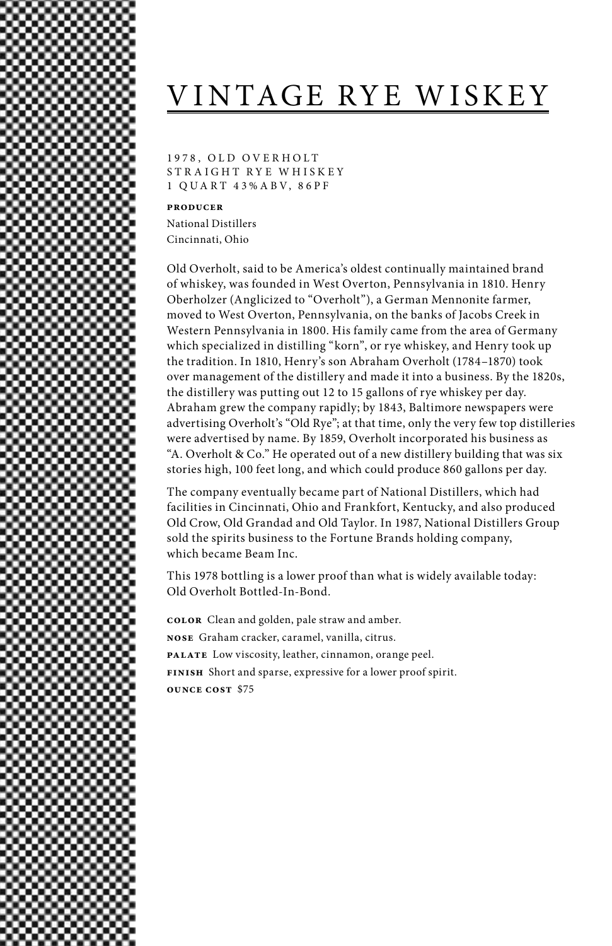# VINTAGE RYE WISKEY

1978, OLD OVERHOLT STRAIGHT RYE WHISKEY 1 QUA RT 43%A BV, 86PF

**producer**

National Distillers Cincinnati, Ohio

Old Overholt, said to be America's oldest continually maintained brand of whiskey, was founded in West Overton, Pennsylvania in 1810. Henry Oberholzer (Anglicized to "Overholt"), a German Mennonite farmer, moved to West Overton, Pennsylvania, on the banks of Jacobs Creek in Western Pennsylvania in 1800. His family came from the area of Germany which specialized in distilling "korn", or rye whiskey, and Henry took up the tradition. In 1810, Henry's son Abraham Overholt (1784–1870) took over management of the distillery and made it into a business. By the 1820s, the distillery was putting out 12 to 15 gallons of rye whiskey per day. Abraham grew the company rapidly; by 1843, Baltimore newspapers were advertising Overholt's "Old Rye"; at that time, only the very few top distilleries were advertised by name. By 1859, Overholt incorporated his business as "A. Overholt & Co." He operated out of a new distillery building that was six stories high, 100 feet long, and which could produce 860 gallons per day.

The company eventually became part of National Distillers, which had facilities in Cincinnati, Ohio and Frankfort, Kentucky, and also produced Old Crow, Old Grandad and Old Taylor. In 1987, National Distillers Group sold the spirits business to the Fortune Brands holding company, which became Beam Inc.

This 1978 bottling is a lower proof than what is widely available today: Old Overholt Bottled-In-Bond.

**color** Clean and golden, pale straw and amber. **nose** Graham cracker, caramel, vanilla, citrus. **palate** Low viscosity, leather, cinnamon, orange peel. **finish** Short and sparse, expressive for a lower proof spirit. **ounce cost** \$75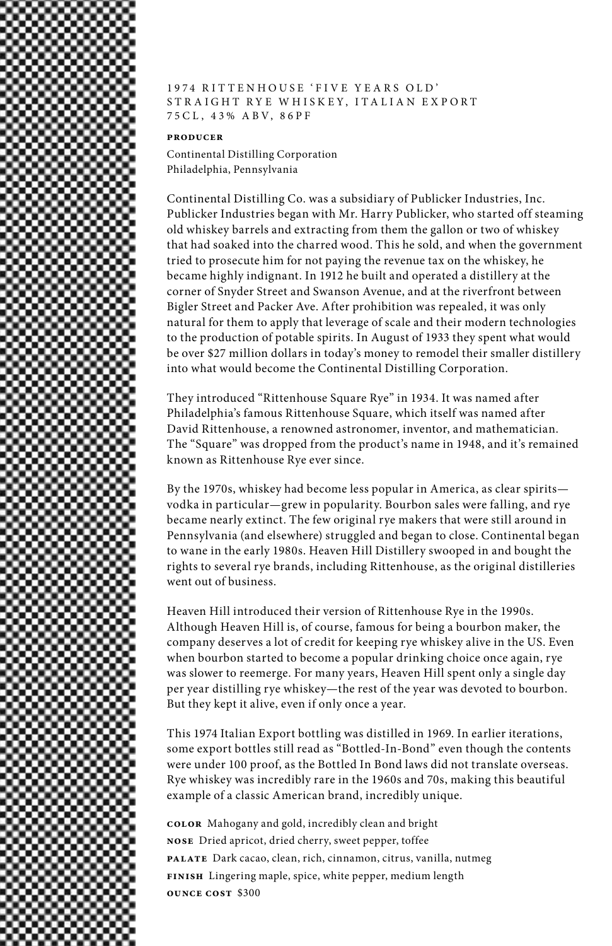

### 1974 RITTENHOUSE 'FIVE YEARS OLD' STRAIGHT RYE WHISKEY, ITALIAN EXPORT 75CL , 43% A BV, 86PF

### **producer**

Continental Distilling Corporation Philadelphia, Pennsylvania

Continental Distilling Co. was a subsidiary of Publicker Industries, Inc. Publicker Industries began with Mr. Harry Publicker, who started off steaming old whiskey barrels and extracting from them the gallon or two of whiskey that had soaked into the charred wood. This he sold, and when the government tried to prosecute him for not paying the revenue tax on the whiskey, he became highly indignant. In 1912 he built and operated a distillery at the corner of Snyder Street and Swanson Avenue, and at the riverfront between Bigler Street and Packer Ave. After prohibition was repealed, it was only natural for them to apply that leverage of scale and their modern technologies to the production of potable spirits. In August of 1933 they spent what would be over \$27 million dollars in today's money to remodel their smaller distillery into what would become the Continental Distilling Corporation.

They introduced "Rittenhouse Square Rye" in 1934. It was named after Philadelphia's famous Rittenhouse Square, which itself was named after David Rittenhouse, a renowned astronomer, inventor, and mathematician. The "Square" was dropped from the product's name in 1948, and it's remained known as Rittenhouse Rye ever since.

By the 1970s, whiskey had become less popular in America, as clear spirits vodka in particular—grew in popularity. Bourbon sales were falling, and rye became nearly extinct. The few original rye makers that were still around in Pennsylvania (and elsewhere) struggled and began to close. Continental began to wane in the early 1980s. Heaven Hill Distillery swooped in and bought the rights to several rye brands, including Rittenhouse, as the original distilleries went out of business.

Heaven Hill introduced their version of Rittenhouse Rye in the 1990s. Although Heaven Hill is, of course, famous for being a bourbon maker, the company deserves a lot of credit for keeping rye whiskey alive in the US. Even when bourbon started to become a popular drinking choice once again, rye was slower to reemerge. For many years, Heaven Hill spent only a single day per year distilling rye whiskey—the rest of the year was devoted to bourbon. But they kept it alive, even if only once a year.

This 1974 Italian Export bottling was distilled in 1969. In earlier iterations, some export bottles still read as "Bottled-In-Bond" even though the contents were under 100 proof, as the Bottled In Bond laws did not translate overseas. Rye whiskey was incredibly rare in the 1960s and 70s, making this beautiful example of a classic American brand, incredibly unique.

**color** Mahogany and gold, incredibly clean and bright **nose** Dried apricot, dried cherry, sweet pepper, toffee **palate** Dark cacao, clean, rich, cinnamon, citrus, vanilla, nutmeg **finish** Lingering maple, spice, white pepper, medium length **ounce cost** \$300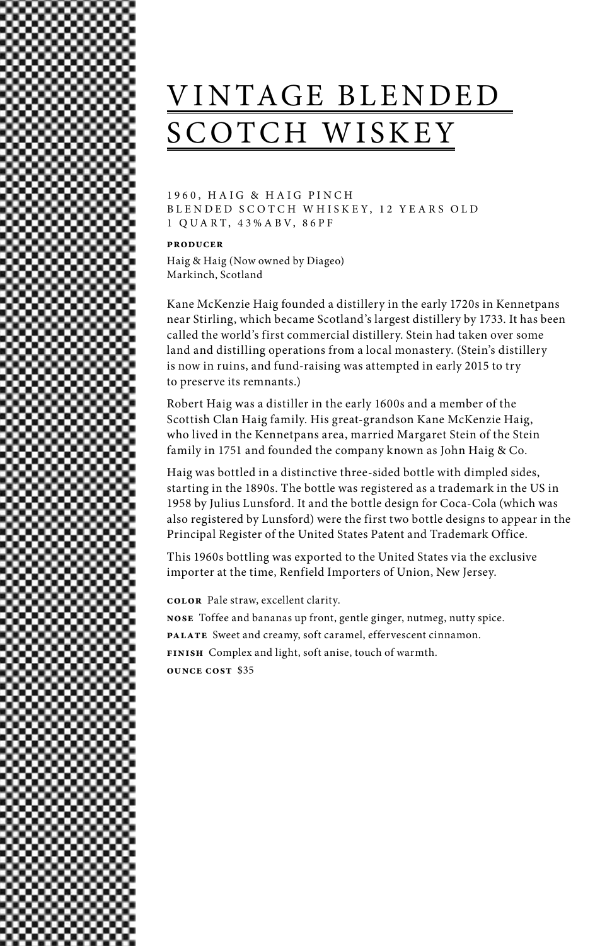# VINTAGE BLENDED SCOTCH WISKEY

1960, HAIG & HAIG PINCH BLENDED SCOTCH WHISKEY, 12 YEARS OLD 1 QUA RT, 43%A BV, 86PF

#### **producer**

Haig & Haig (Now owned by Diageo) Markinch, Scotland

Kane McKenzie Haig founded a distillery in the early 1720s in Kennetpans near Stirling, which became Scotland's largest distillery by 1733. It has been called the world's first commercial distillery. Stein had taken over some land and distilling operations from a local monastery. (Stein's distillery is now in ruins, and fund-raising was attempted in early 2015 to try to preserve its remnants.)

Robert Haig was a distiller in the early 1600s and a member of the Scottish Clan Haig family. His great-grandson Kane McKenzie Haig, who lived in the Kennetpans area, married Margaret Stein of the Stein family in 1751 and founded the company known as John Haig & Co.

Haig was bottled in a distinctive three-sided bottle with dimpled sides, starting in the 1890s. The bottle was registered as a trademark in the US in 1958 by Julius Lunsford. It and the bottle design for Coca-Cola (which was also registered by Lunsford) were the first two bottle designs to appear in the Principal Register of the United States Patent and Trademark Office.

This 1960s bottling was exported to the United States via the exclusive importer at the time, Renfield Importers of Union, New Jersey.

**color** Pale straw, excellent clarity.

**nose** Toffee and bananas up front, gentle ginger, nutmeg, nutty spice. **palate** Sweet and creamy, soft caramel, effervescent cinnamon. **finish** Complex and light, soft anise, touch of warmth.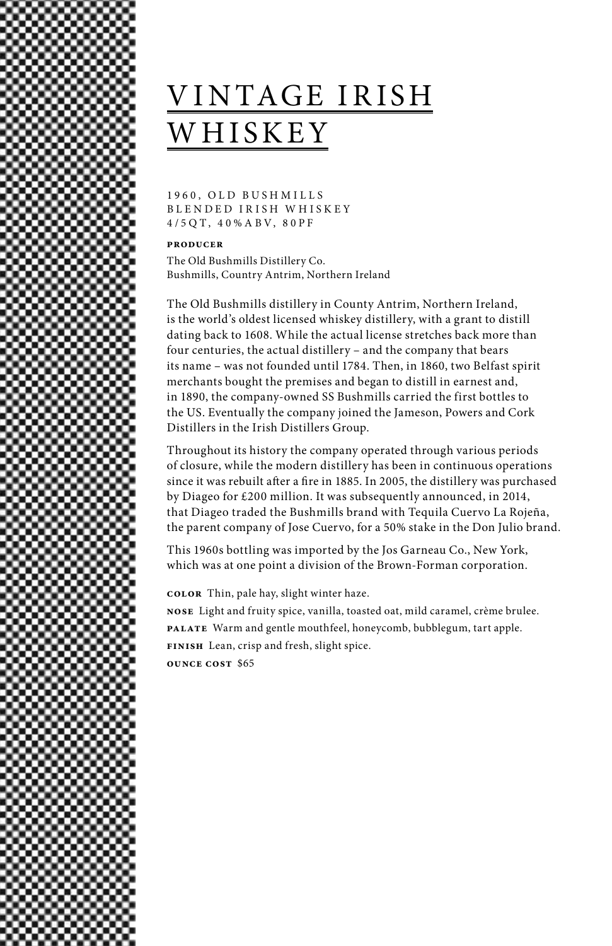# VINTAGE IRISH WHISKEY

1960, OLD BUSHMILLS BLENDED IRISH WHISKEY 4/5QT, 4 0%A BV, 80PF

**producer**

The Old Bushmills Distillery Co. Bushmills, Country Antrim, Northern Ireland

The Old Bushmills distillery in County Antrim, Northern Ireland, is the world's oldest licensed whiskey distillery, with a grant to distill dating back to 1608. While the actual license stretches back more than four centuries, the actual distillery – and the company that bears its name – was not founded until 1784. Then, in 1860, two Belfast spirit merchants bought the premises and began to distill in earnest and, in 1890, the company-owned SS Bushmills carried the first bottles to the US. Eventually the company joined the Jameson, Powers and Cork Distillers in the Irish Distillers Group.

Throughout its history the company operated through various periods of closure, while the modern distillery has been in continuous operations since it was rebuilt after a fire in 1885. In 2005, the distillery was purchased by Diageo for £200 million. It was subsequently announced, in 2014, that Diageo traded the Bushmills brand with Tequila Cuervo La Rojeña, the parent company of Jose Cuervo, for a 50% stake in the Don Julio brand.

This 1960s bottling was imported by the Jos Garneau Co., New York, which was at one point a division of the Brown-Forman corporation.

**color** Thin, pale hay, slight winter haze.

**nose** Light and fruity spice, vanilla, toasted oat, mild caramel, crème brulee. **palate** Warm and gentle mouthfeel, honeycomb, bubblegum, tart apple. **finish** Lean, crisp and fresh, slight spice. **ounce cost** \$65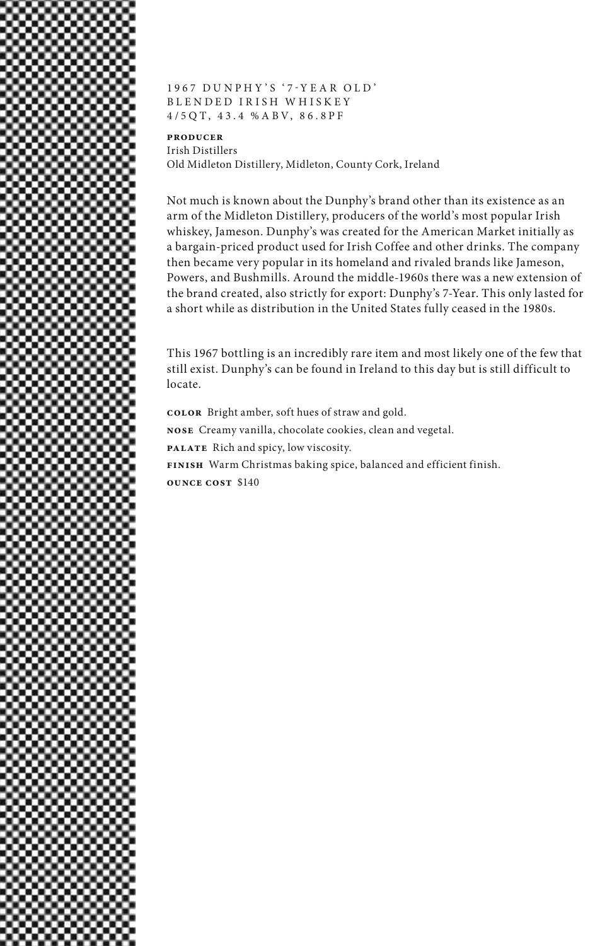

1967 DUNPHY'S '7-YEAR OLD' BLENDED IRISH WHISKEY 4/5QT, 43.4 %A BV, 86.8PF

**producer** Irish Distillers Old Midleton Distillery, Midleton, County Cork, Ireland

Not much is known about the Dunphy's brand other than its existence as an arm of the Midleton Distillery, producers of the world's most popular Irish whiskey, Jameson. Dunphy's was created for the American Market initially as a bargain-priced product used for Irish Coffee and other drinks. The company then became very popular in its homeland and rivaled brands like Jameson, Powers, and Bushmills. Around the middle-1960s there was a new extension of the brand created, also strictly for export: Dunphy's 7-Year. This only lasted for a short while as distribution in the United States fully ceased in the 1980s.

This 1967 bottling is an incredibly rare item and most likely one of the few that still exist. Dunphy's can be found in Ireland to this day but is still difficult to locate.

**color** Bright amber, soft hues of straw and gold. **nose** Creamy vanilla, chocolate cookies, clean and vegetal. **palate** Rich and spicy, low viscosity. **finish** Warm Christmas baking spice, balanced and efficient finish. **ounce cost** \$140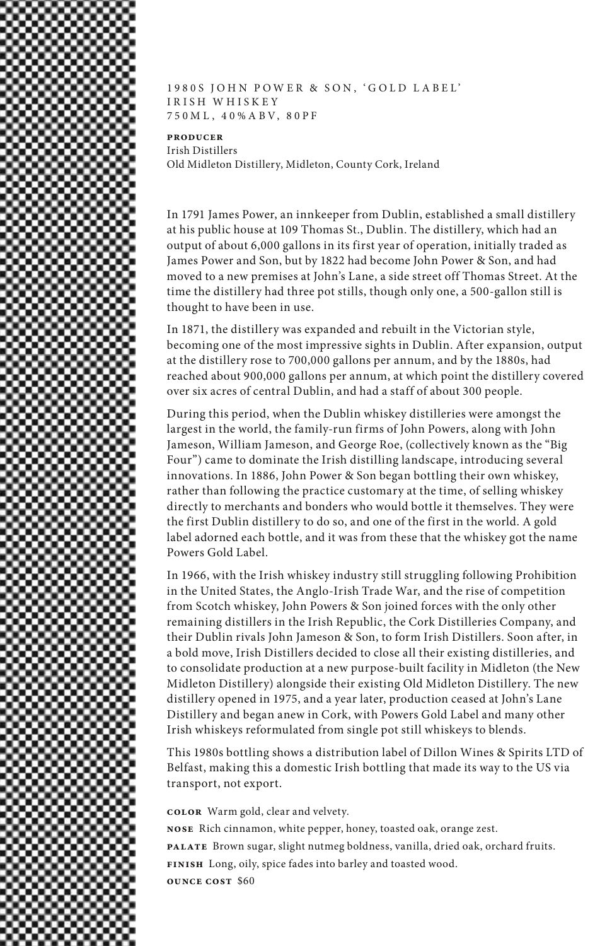1980S JOHN POWER & SON, 'GOLD LABEL' IRISH WHISKEY 750M L , 4 0%A BV, 80PF

**producer** Irish Distillers Old Midleton Distillery, Midleton, County Cork, Ireland

In 1791 James Power, an innkeeper from Dublin, established a small distillery at his public house at 109 Thomas St., Dublin. The distillery, which had an output of about 6,000 gallons in its first year of operation, initially traded as James Power and Son, but by 1822 had become John Power & Son, and had moved to a new premises at John's Lane, a side street off Thomas Street. At the time the distillery had three pot stills, though only one, a 500-gallon still is thought to have been in use.

In 1871, the distillery was expanded and rebuilt in the Victorian style, becoming one of the most impressive sights in Dublin. After expansion, output at the distillery rose to 700,000 gallons per annum, and by the 1880s, had reached about 900,000 gallons per annum, at which point the distillery covered over six acres of central Dublin, and had a staff of about 300 people.

During this period, when the Dublin whiskey distilleries were amongst the largest in the world, the family-run firms of John Powers, along with John Jameson, William Jameson, and George Roe, (collectively known as the "Big Four") came to dominate the Irish distilling landscape, introducing several innovations. In 1886, John Power & Son began bottling their own whiskey, rather than following the practice customary at the time, of selling whiskey directly to merchants and bonders who would bottle it themselves. They were the first Dublin distillery to do so, and one of the first in the world. A gold label adorned each bottle, and it was from these that the whiskey got the name Powers Gold Label.

In 1966, with the Irish whiskey industry still struggling following Prohibition in the United States, the Anglo-Irish Trade War, and the rise of competition from Scotch whiskey, John Powers & Son joined forces with the only other remaining distillers in the Irish Republic, the Cork Distilleries Company, and their Dublin rivals John Jameson & Son, to form Irish Distillers. Soon after, in a bold move, Irish Distillers decided to close all their existing distilleries, and to consolidate production at a new purpose-built facility in Midleton (the New Midleton Distillery) alongside their existing Old Midleton Distillery. The new distillery opened in 1975, and a year later, production ceased at John's Lane Distillery and began anew in Cork, with Powers Gold Label and many other Irish whiskeys reformulated from single pot still whiskeys to blends.

This 1980s bottling shows a distribution label of Dillon Wines & Spirits LTD of Belfast, making this a domestic Irish bottling that made its way to the US via transport, not export.

**color** Warm gold, clear and velvety.

**nose** Rich cinnamon, white pepper, honey, toasted oak, orange zest. **palate** Brown sugar, slight nutmeg boldness, vanilla, dried oak, orchard fruits. **finish** Long, oily, spice fades into barley and toasted wood. **ounce cost** \$60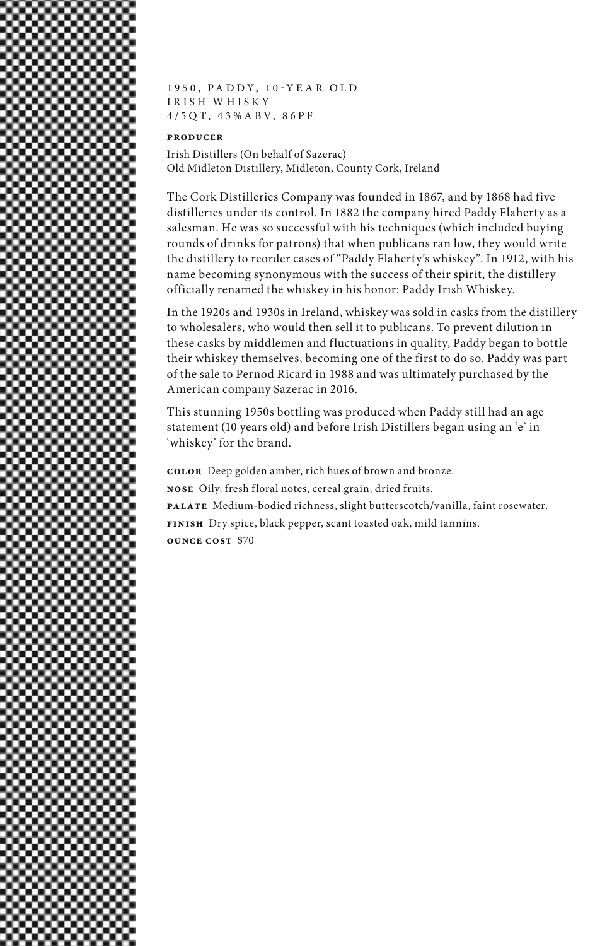

1 9 5 0 , P A D D Y , 1 0 - Y E A R O L D IRISH WHISKY 4/5QT, 43%A BV, 86PF

### **producer**

Irish Distillers (On behalf of Sazerac) Old Midleton Distillery, Midleton, County Cork, Ireland

The Cork Distilleries Company was founded in 1867, and by 1868 had five distilleries under its control. In 1882 the company hired Paddy Flaherty as a salesman. He was so successful with his techniques (which included buying rounds of drinks for patrons) that when publicans ran low, they would write the distillery to reorder cases of "Paddy Flaherty's whiskey". In 1912, with his name becoming synonymous with the success of their spirit, the distillery officially renamed the whiskey in his honor: Paddy Irish Whiskey.

In the 1920s and 1930s in Ireland, whiskey was sold in casks from the distillery to wholesalers, who would then sell it to publicans. To prevent dilution in these casks by middlemen and fluctuations in quality, Paddy began to bottle their whiskey themselves, becoming one of the first to do so. Paddy was part of the sale to Pernod Ricard in 1988 and was ultimately purchased by the American company Sazerac in 2016.

This stunning 1950s bottling was produced when Paddy still had an age statement (10 years old) and before Irish Distillers began using an 'e' in 'whiskey' for the brand.

**color** Deep golden amber, rich hues of brown and bronze. **nose** Oily, fresh floral notes, cereal grain, dried fruits. **palate** Medium-bodied richness, slight butterscotch/vanilla, faint rosewater. **finish** Dry spice, black pepper, scant toasted oak, mild tannins. **ounce cost** \$70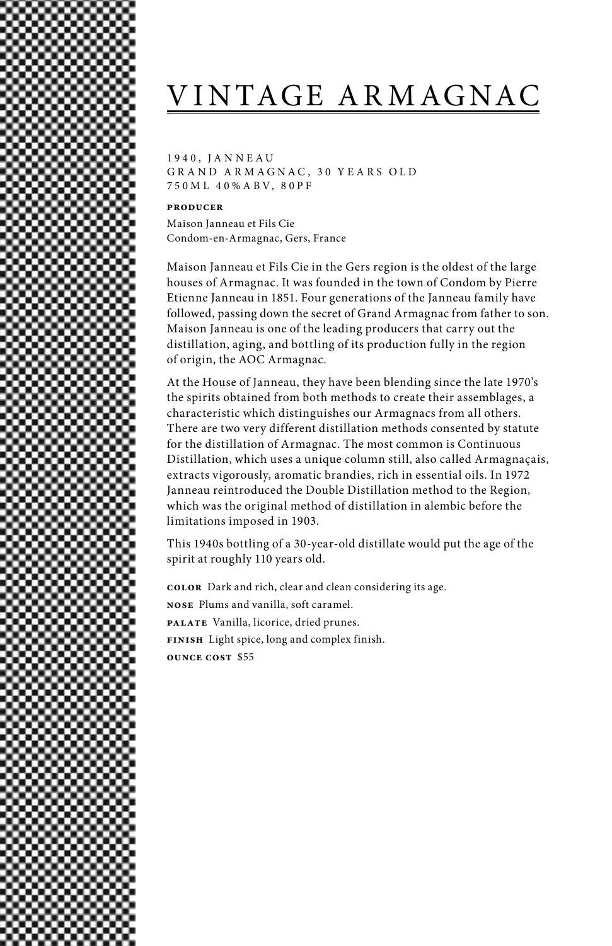# VINTAGE ARMAGNAC

1 9 4 0 , J A N N E A U GRAND ARMAGNAC, 30 YEARS OLD 750M L 4 0%A BV, 80PF

#### **producer**

Maison Janneau et Fils Cie Condom-en-Armagnac, Gers, France

Maison Janneau et Fils Cie in the Gers region is the oldest of the large houses of Armagnac. It was founded in the town of Condom by Pierre Etienne Janneau in 1851. Four generations of the Janneau family have followed, passing down the secret of Grand Armagnac from father to son. Maison Janneau is one of the leading producers that carry out the distillation, aging, and bottling of its production fully in the region of origin, the AOC Armagnac.

At the House of Janneau, they have been blending since the late 1970's the spirits obtained from both methods to create their assemblages, a characteristic which distinguishes our Armagnacs from all others. There are two very different distillation methods consented by statute for the distillation of Armagnac. The most common is Continuous Distillation, which uses a unique column still, also called Armagnaçais, extracts vigorously, aromatic brandies, rich in essential oils. In 1972 Janneau reintroduced the Double Distillation method to the Region, which was the original method of distillation in alembic before the limitations imposed in 1903.

This 1940s bottling of a 30-year-old distillate would put the age of the spirit at roughly 110 years old.

**color** Dark and rich, clear and clean considering its age. **nose** Plums and vanilla, soft caramel. **palate** Vanilla, licorice, dried prunes. **finish** Light spice, long and complex finish. **ounce cost** \$55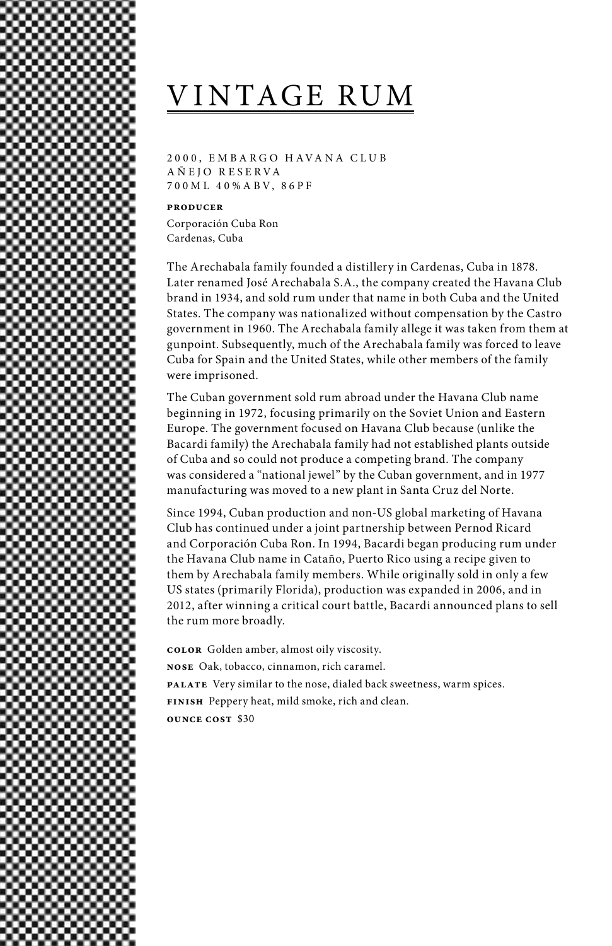# VINTAGE RUM

2000, EMBARGO HAVANA CLUB A Ñ EJO R E SERVA 70 0M L 4 0%A BV, 86PF

**producer**

Corporación Cuba Ron Cardenas, Cuba

The Arechabala family founded a distillery in Cardenas, Cuba in 1878. Later renamed José Arechabala S.A., the company created the Havana Club brand in 1934, and sold rum under that name in both Cuba and the United States. The company was nationalized without compensation by the Castro government in 1960. The Arechabala family allege it was taken from them at gunpoint. Subsequently, much of the Arechabala family was forced to leave Cuba for Spain and the United States, while other members of the family were imprisoned.

The Cuban government sold rum abroad under the Havana Club name beginning in 1972, focusing primarily on the Soviet Union and Eastern Europe. The government focused on Havana Club because (unlike the Bacardi family) the Arechabala family had not established plants outside of Cuba and so could not produce a competing brand. The company was considered a "national jewel" by the Cuban government, and in 1977 manufacturing was moved to a new plant in Santa Cruz del Norte.

Since 1994, Cuban production and non-US global marketing of Havana Club has continued under a joint partnership between Pernod Ricard and Corporación Cuba Ron. In 1994, Bacardi began producing rum under the Havana Club name in Cataño, Puerto Rico using a recipe given to them by Arechabala family members. While originally sold in only a few US states (primarily Florida), production was expanded in 2006, and in 2012, after winning a critical court battle, Bacardi announced plans to sell the rum more broadly.

**color** Golden amber, almost oily viscosity. **nose** Oak, tobacco, cinnamon, rich caramel. **palate** Very similar to the nose, dialed back sweetness, warm spices. **finish** Peppery heat, mild smoke, rich and clean. **ounce cost** \$30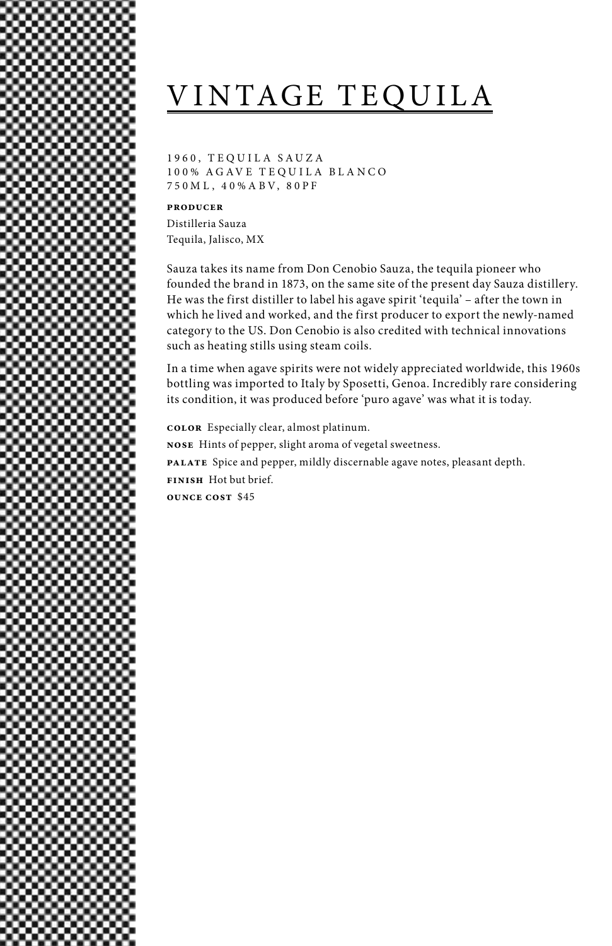# VINTAGE TEQUILA

1 9 6 0 , T E Q U I L A S A U Z A 1 0 0 % A G A V E T E Q U I L A B L A N C O 750M L , 4 0%A BV, 80PF

### **producer**

Distilleria Sauza Tequila, Jalisco, MX

Sauza takes its name from Don Cenobio Sauza, the tequila pioneer who founded the brand in 1873, on the same site of the present day Sauza distillery. He was the first distiller to label his agave spirit 'tequila' – after the town in which he lived and worked, and the first producer to export the newly-named category to the US. Don Cenobio is also credited with technical innovations such as heating stills using steam coils.

In a time when agave spirits were not widely appreciated worldwide, this 1960s bottling was imported to Italy by Sposetti, Genoa. Incredibly rare considering its condition, it was produced before 'puro agave' was what it is today.

**color** Especially clear, almost platinum. **nose** Hints of pepper, slight aroma of vegetal sweetness. **palate** Spice and pepper, mildly discernable agave notes, pleasant depth. **finish** Hot but brief. **ounce cost** \$45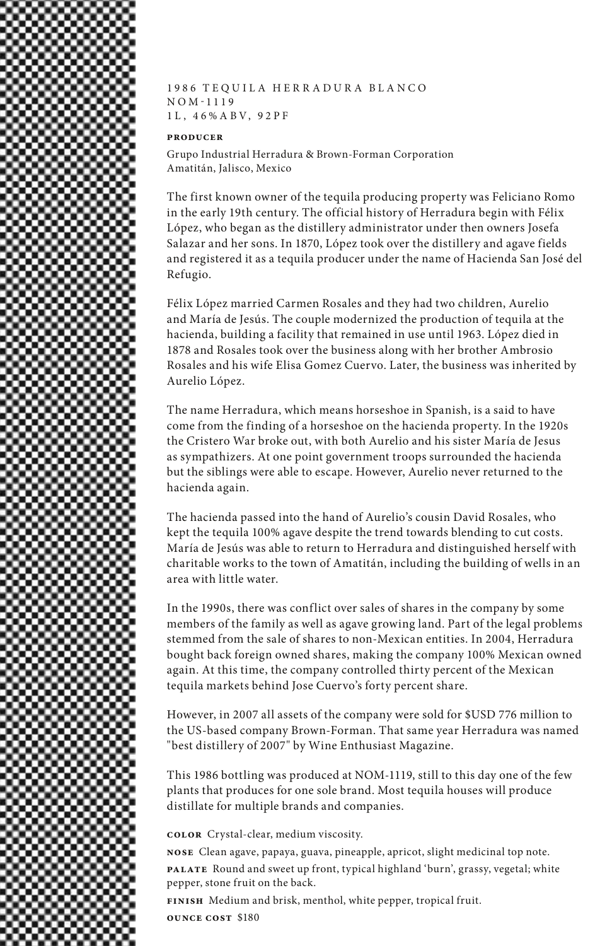

1986 TEQUILA HERRADURA BLANCO N O M - 1 1 1 9 1L , 4 6%A BV, 92PF

### **producer**

Grupo Industrial Herradura & Brown-Forman Corporation Amatitán, Jalisco, Mexico

The first known owner of the tequila producing property was Feliciano Romo in the early 19th century. The official history of Herradura begin with Félix López, who began as the distillery administrator under then owners Josefa Salazar and her sons. In 1870, López took over the distillery and agave fields and registered it as a tequila producer under the name of Hacienda San José del Refugio.

Félix López married Carmen Rosales and they had two children, Aurelio and María de Jesús. The couple modernized the production of tequila at the hacienda, building a facility that remained in use until 1963. López died in 1878 and Rosales took over the business along with her brother Ambrosio Rosales and his wife Elisa Gomez Cuervo. Later, the business was inherited by Aurelio López.

The name Herradura, which means horseshoe in Spanish, is a said to have come from the finding of a horseshoe on the hacienda property. In the 1920s the Cristero War broke out, with both Aurelio and his sister María de Jesus as sympathizers. At one point government troops surrounded the hacienda but the siblings were able to escape. However, Aurelio never returned to the hacienda again.

The hacienda passed into the hand of Aurelio's cousin David Rosales, who kept the tequila 100% agave despite the trend towards blending to cut costs. María de Jesús was able to return to Herradura and distinguished herself with charitable works to the town of Amatitán, including the building of wells in an area with little water.

In the 1990s, there was conflict over sales of shares in the company by some members of the family as well as agave growing land. Part of the legal problems stemmed from the sale of shares to non-Mexican entities. In 2004, Herradura bought back foreign owned shares, making the company 100% Mexican owned again. At this time, the company controlled thirty percent of the Mexican tequila markets behind Jose Cuervo's forty percent share.

However, in 2007 all assets of the company were sold for \$USD 776 million to the US-based company Brown-Forman. That same year Herradura was named "best distillery of 2007" by Wine Enthusiast Magazine.

This 1986 bottling was produced at NOM-1119, still to this day one of the few plants that produces for one sole brand. Most tequila houses will produce distillate for multiple brands and companies.

**color** Crystal-clear, medium viscosity.

**nose** Clean agave, papaya, guava, pineapple, apricot, slight medicinal top note. **palate** Round and sweet up front, typical highland 'burn', grassy, vegetal; white pepper, stone fruit on the back.

**finish** Medium and brisk, menthol, white pepper, tropical fruit.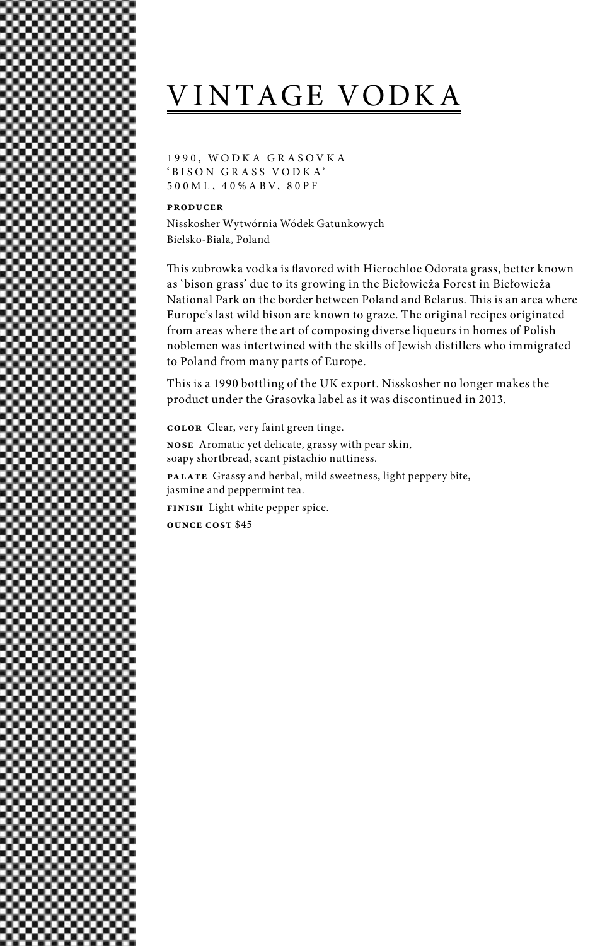# VINTAGE VODKA

1 9 9 0 , W O D K A G R A S O V K A 'BISON GR ASS VODK A' 50 0M L , 4 0%A BV, 80PF

### **producer**

Nisskosher Wytwórnia Wódek Gatunkowych Bielsko-Biala, Poland

This zubrowka vodka is flavored with Hierochloe Odorata grass, better known as 'bison grass' due to its growing in the Biełowieża Forest in Biełowieża National Park on the border between Poland and Belarus. This is an area where Europe's last wild bison are known to graze. The original recipes originated from areas where the art of composing diverse liqueurs in homes of Polish noblemen was intertwined with the skills of Jewish distillers who immigrated to Poland from many parts of Europe.

This is a 1990 bottling of the UK export. Nisskosher no longer makes the product under the Grasovka label as it was discontinued in 2013.

**color** Clear, very faint green tinge.

**nose** Aromatic yet delicate, grassy with pear skin, soapy shortbread, scant pistachio nuttiness. **palate** Grassy and herbal, mild sweetness, light peppery bite,

jasmine and peppermint tea.

**finish** Light white pepper spice.